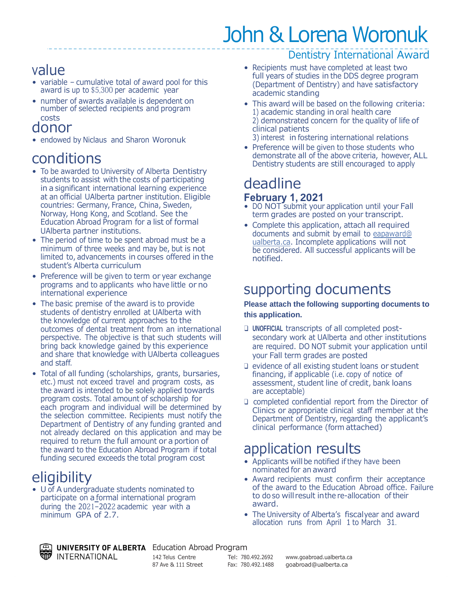# John & Lorena Woronuk

#### value

- variable cumulative total of award pool for this award is up to \$5,300 per academic year
- number of awards available is dependent on number of selected recipients and program costs

#### donor

• endowed by Niclaus and Sharon Woronuk

#### conditions

- To be awarded to University of Alberta Dentistry students to assist with the costs of participating in a significant international learning experience at an official UAlberta partner institution. Eligible countries: Germany, France, China, Sweden, Norway, Hong Kong, and Scotland. See the Education Abroad Program for a list of formal UAlberta partner institutions.
- The period of time to be spent abroad must be a minimum of three weeks and may be, but is not limited to, advancements in courses offered in the student's Alberta curriculum
- Preference will be given to term or year exchange programs and to applicants who have little or no international experience
- The basic premise of the award is to provide students of dentistry enrolled at UAlberta with the knowledge of current approaches to the outcomes of dental treatment from an international perspective. The objective is that such students will bring back knowledge gained by this experience and share that knowledge with UAlberta colleagues and staff.
- Total of all funding (scholarships, grants, bursaries, etc.) must not exceed travel and program costs, as the award is intended to be solely applied towards program costs. Total amount of scholarship for each program and individual will be determined by the selection committee. Recipients must notify the Department of Dentistry of any funding granted and not already declared on this application and may be required to return the full amount or a portion of the award to the Education Abroad Program if total funding secured exceeds the total program cost

## **eligibility**

• U of A undergraduate students nominated to participate on a formal international program during the 2021–2022 academic year with a minimum GPA of 2.7.

#### Dentistry International Award

- Recipients must have completed at least two full years of studies in the DDS degree program (Department of Dentistry) and have satisfactory academic standing
- This award will be based on the following criteria: 1) academic standing in oral health care 2) demonstrated concern for the quality of life of clinical patients
	- 3) interest in fostering international relations
- Preference will be given to those students who demonstrate all of the above criteria, however, ALL Dentistry students are still encouraged to apply

#### deadline **February 1, 2021**

- DO NOT submit your application until your Fall term grades are posted on your transcript.
- Complete this application, attach all required documents and submit by email to eapaward@ ualberta.ca. Incomplete applications will not be considered. All successful applicants will be notified.

#### supporting documents

#### **Please attach the following supporting documents to this application.**

- ❑ **UNOFFICIAL** transcripts of all completed postsecondary work at UAlberta and other institutions are required. DO NOT submit your application until your Fall term grades are posted
- ❑ evidence of all existing student loans or student financing, if applicable (i.e. copy of notice of assessment, student line of credit, bank loans are acceptable)
- ❑ completed confidential report from the Director of Clinics or appropriate clinical staff member at the Department of Dentistry, regarding the applicant's clinical performance (form attached)

#### application results

- Applicants will be notified if they have been nominated for an award
- Award recipients must confirm their acceptance of the award to the Education Abroad office. Failure to do so will result inthe re-allocation of their award.
- The University of Alberta's fiscalyear and award allocation runs from April 1 to March 31.

UNIVERSITY OF ALBERTA Education Abroad Program **INTERNATIONAL** 

142 Telus Centre Tel: 780.492.2692 [www.goabroad.ualberta.ca](http://www.goabroad.ualberta.ca/) 87 Ave & 111 Street Fax: 780.492.1488 [goabroad@ualberta.ca](mailto:goabroad@ualberta.ca)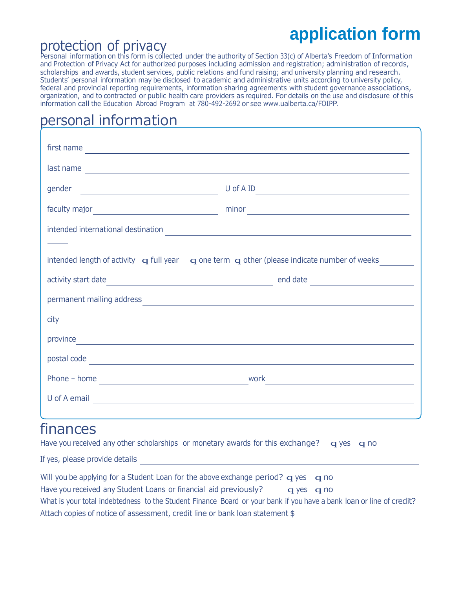# protection of privacy **application form**

Personal information on this form is collected under the authority of Section 33(c) of Alberta's Freedom of Information and Protection of Privacy Act for authorized purposes including admission and registration; administration of records, scholarships and awards, student services, public relations and fund raising; and university planning and research. Students' personal information may be disclosed to academic and administrative units according to university policy, federal and provincial reporting requirements, information sharing agreements with student governance associations, organization, and to contracted or public health care providers as required. For details on the use and disclosure of this information call the Education Abroad Program at 780-492-2692 or see [www.ualberta.ca/FOIPP.](http://www.ualberta.ca/FOIPP)

### personal information

|                                                                                                                           | $minor \begin{tabular}{ c c c } \hline \hline \hline \multicolumn{3}{ c }{3} & \multicolumn{3}{ c }{5} \\ \hline \multicolumn{3}{ c }{5} & \multicolumn{3}{ c }{5} \\ \hline \multicolumn{3}{ c }{5} & \multicolumn{3}{ c }{5} \\ \hline \multicolumn{3}{ c }{5} & \multicolumn{3}{ c }{5} \\ \hline \multicolumn{3}{ c }{5} & \multicolumn{3}{ c }{5} \\ \hline \multicolumn{3}{ c }{5} & \multicolumn{3}{ c }{5} \\ \hline \multicolumn{3}{ c$ |  |
|---------------------------------------------------------------------------------------------------------------------------|--------------------------------------------------------------------------------------------------------------------------------------------------------------------------------------------------------------------------------------------------------------------------------------------------------------------------------------------------------------------------------------------------------------------------------------------------|--|
|                                                                                                                           |                                                                                                                                                                                                                                                                                                                                                                                                                                                  |  |
|                                                                                                                           |                                                                                                                                                                                                                                                                                                                                                                                                                                                  |  |
| intended length of activity $\mathbf q$ full year $\mathbf q$ one term $\mathbf q$ other (please indicate number of weeks |                                                                                                                                                                                                                                                                                                                                                                                                                                                  |  |
|                                                                                                                           |                                                                                                                                                                                                                                                                                                                                                                                                                                                  |  |
|                                                                                                                           | permanent mailing address experience and the set of the set of the set of the set of the set of the set of the                                                                                                                                                                                                                                                                                                                                   |  |
|                                                                                                                           |                                                                                                                                                                                                                                                                                                                                                                                                                                                  |  |
|                                                                                                                           | province expression and the set of the set of the set of the set of the set of the set of the set of the set of the set of the set of the set of the set of the set of the set of the set of the set of the set of the set of                                                                                                                                                                                                                    |  |
|                                                                                                                           | postal code <u>experimental contracts</u>                                                                                                                                                                                                                                                                                                                                                                                                        |  |
|                                                                                                                           |                                                                                                                                                                                                                                                                                                                                                                                                                                                  |  |
| U of A email<br><u> 1980 - Andrea Andrew Maria (h. 1980).</u>                                                             |                                                                                                                                                                                                                                                                                                                                                                                                                                                  |  |
|                                                                                                                           |                                                                                                                                                                                                                                                                                                                                                                                                                                                  |  |

#### finances

Have you received any other scholarships or monetary awards for this exchange?  $q$  yes q no

If yes, please provide details **If yes** and the set of year and the set of year and the set of years of years of years and year and year and year and year and year and year and year and year and year and year and year and

| Will you be applying for a Student Loan for the above exchange period? $q$ yes $q$ no                                |            |  |
|----------------------------------------------------------------------------------------------------------------------|------------|--|
| Have you received any Student Loans or financial aid previously?                                                     | q yes q no |  |
| What is your total indebtedness to the Student Finance Board or your bank if you have a bank loan or line of credit? |            |  |
| Attach copies of notice of assessment, credit line or bank loan statement \$                                         |            |  |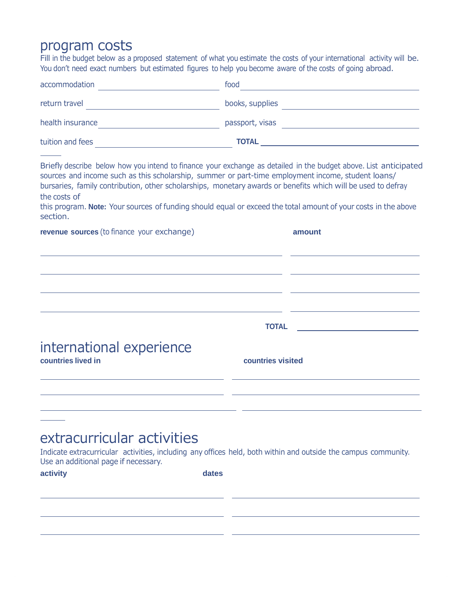#### program costs

Fill in the budget below as a proposed statement of what you estimate the costs of your international activity will be. You don't need exact numbers but estimated figures to help you become aware of the costs of going abroad.

| accommodation    | food            |
|------------------|-----------------|
| return travel    | books, supplies |
| health insurance | passport, visas |
| tuition and fees | <b>TOTAL</b>    |

Briefly describe below how you intend to finance your exchange as detailed in the budget above. List anticipated sources and income such as this scholarship, summer or part-time employment income, student loans/ bursaries, family contribution, other scholarships, monetary awards or benefits which will be used to defray the costs of

this program. **Note:** Your sources of funding should equal or exceed the total amount of your costs in the above section.

| revenue sources (to finance your exchange) | amount            |
|--------------------------------------------|-------------------|
|                                            |                   |
|                                            |                   |
|                                            |                   |
|                                            |                   |
|                                            |                   |
|                                            |                   |
|                                            |                   |
| international experience                   |                   |
| countries lived in                         | countries visited |
|                                            |                   |
|                                            |                   |

#### extracurricular activities

Indicate extracurricular activities, including any offices held, both within and outside the campus community. Use an additional page if necessary.

**activity dates**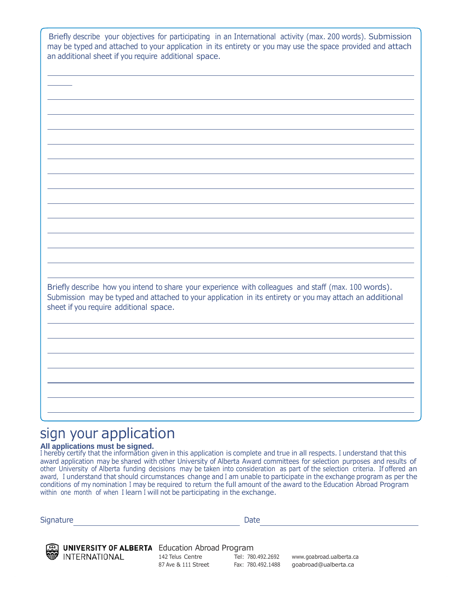Briefly describe your objectives for participating in an International activity (max. 200 words). Submission may be typed and attached to your application in its entirety or you may use the space provided and attach an additional sheet if you require additional space.

Briefly describe how you intend to share your experience with colleagues and staff (max. 100 words). Submission may be typed and attached to your application in its entirety or you may attach an additional sheet if you require additional space.

#### sign your application

#### **All applications must be signed.**

I hereby certify that the information given in this application is complete and true in all respects. I understand that this award application may be shared with other University of Alberta Award committees for selection purposes and results of other University of Alberta funding decisions may be taken into consideration as part of the selection criteria. If offered an award, I understand that should circumstances change and I am unable to participate in the exchange program as per the conditions of my nomination I may be required to return the full amount of the award to the Education Abroad Program within one month of when I learn I will not be participating in the exchange.

Signature Date Date Date



UNIVERSITY OF ALBERTA Education Abroad Program

87 Ave & 111 Street

142 Telus Centre Tel: 780.492.2692 [www.goabroad.ualberta.ca](http://www.goabroad.ualberta.ca/) Fax: 780.492.1488 [goabroad@ualberta.ca](mailto:goabroad@ualberta.ca)